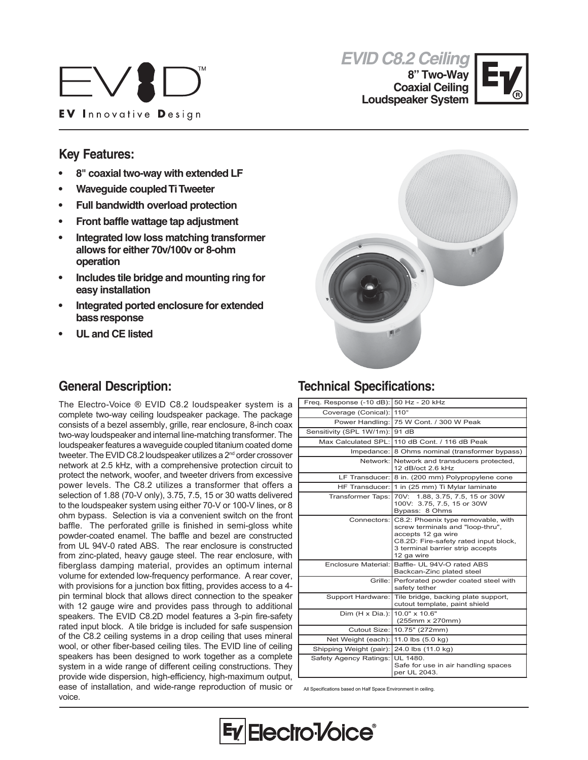



**8" Two-Way Coaxial Ceiling Loudspeaker System**



## **Key Features:**

- **8" coaxial two-way with extended LF**
- **Waveguide coupled Ti Tweeter**
- **Full bandwidth overload protection**
- **Front baffle wattage tap adjustment**
- **Integrated low loss matching transformer allows for either 70v/100v or 8-ohm operation**
- **Includes tile bridge and mounting ring for easy installation**
- **Integrated ported enclosure for extended bass response**
- **UL and CE listed**

## **General Description:**

The Electro-Voice ® EVID C8.2 loudspeaker system is a complete two-way ceiling loudspeaker package. The package consists of a bezel assembly, grille, rear enclosure, 8-inch coax two-way loudspeaker and internal line-matching transformer. The loudspeaker features a waveguide coupled titanium coated dome tweeter. The EVID C8.2 loudspeaker utilizes a 2<sup>nd</sup> order crossover network at 2.5 kHz, with a comprehensive protection circuit to protect the network, woofer, and tweeter drivers from excessive power levels. The C8.2 utilizes a transformer that offers a selection of 1.88 (70-V only), 3.75, 7.5, 15 or 30 watts delivered to the loudspeaker system using either 70-V or 100-V lines, or 8 ohm bypass. Selection is via a convenient switch on the front baffle. The perforated grille is finished in semi-gloss white powder-coated enamel. The baffle and bezel are constructed from UL 94V-0 rated ABS. The rear enclosure is constructed from zinc-plated, heavy gauge steel. The rear enclosure, with fiberglass damping material, provides an optimum internal volume for extended low-frequency performance. A rear cover, with provisions for a junction box fitting, provides access to a 4 pin terminal block that allows direct connection to the speaker with 12 gauge wire and provides pass through to additional speakers. The EVID C8.2D model features a 3-pin fire-safety rated input block. A tile bridge is included for safe suspension of the C8.2 ceiling systems in a drop ceiling that uses mineral wool, or other fiber-based ceiling tiles. The EVID line of ceiling speakers has been designed to work together as a complete system in a wide range of different ceiling constructions. They provide wide dispersion, high-efficiency, high-maximum output, ease of installation, and wide-range reproduction of music or voice.



### **Technical Specifications:**

| Freg. Response (-10 dB): 50 Hz - 20 kHz |                                                                                                                                                                                                     |
|-----------------------------------------|-----------------------------------------------------------------------------------------------------------------------------------------------------------------------------------------------------|
| Coverage (Conical):                     | $110^\circ$                                                                                                                                                                                         |
|                                         | Power Handling: 75 W Cont. / 300 W Peak                                                                                                                                                             |
| Sensitivity (SPL 1W/1m): 91 dB          |                                                                                                                                                                                                     |
| Max Calculated SPL:                     | 110 dB Cont. / 116 dB Peak                                                                                                                                                                          |
| Impedance:                              | 8 Ohms nominal (transformer bypass)                                                                                                                                                                 |
|                                         | Network: Network and transducers protected,<br>12 dB/oct 2.6 kHz                                                                                                                                    |
|                                         | LF Transducer: 8 in. (200 mm) Polypropylene cone                                                                                                                                                    |
| HF Transducer: I                        | 1 in (25 mm) Ti Mylar laminate                                                                                                                                                                      |
| Transformer Taps:                       | 70V: 1.88, 3.75, 7.5, 15 or 30W<br>100V: 3.75, 7.5, 15 or 30W<br>Bypass: 8 Ohms                                                                                                                     |
|                                         | Connectors: C8.2: Phoenix type removable, with<br>screw terminals and "loop-thru",<br>accepts 12 ga wire<br>C8.2D: Fire-safety rated input block,<br>3 terminal barrier strip accepts<br>12 ga wire |
|                                         | Enclosure Material: Baffle- UL 94V-O rated ABS<br>Backcan-Zinc plated steel                                                                                                                         |
|                                         | Grille: Perforated powder coated steel with<br>safety tether                                                                                                                                        |
| Support Hardware:                       | Tile bridge, backing plate support,<br>cutout template, paint shield                                                                                                                                |
| Dim $(H \times Dia.)$ :                 | $10.0" \times 10.6"$<br>(255mm x 270mm)                                                                                                                                                             |
|                                         | Cutout Size: 10.75" (272mm)                                                                                                                                                                         |
| Net Weight (each):                      | 11.0 lbs (5.0 kg)                                                                                                                                                                                   |
| Shipping Weight (pair):                 | 24.0 lbs (11.0 kg)                                                                                                                                                                                  |
| Safety Agency Ratings:                  | UL 1480.<br>Safe for use in air handling spaces<br>per UL 2043.                                                                                                                                     |

All Specifications based on Half Space Environment in ceiling.

Electro<sup>1</sup>/oice®